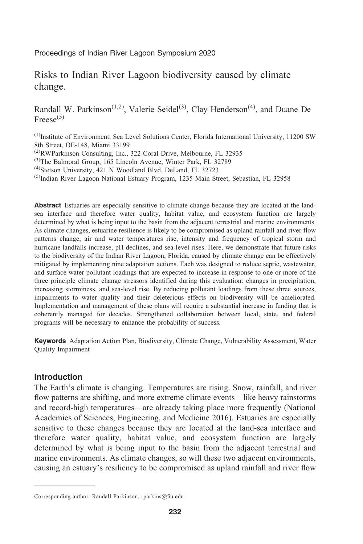Proceedings of Indian River Lagoon Symposium 2020

# Risks to Indian River Lagoon biodiversity caused by climate change.

Randall W. Parkinson<sup> $(1,2)$ </sup>, Valerie Seidel<sup>(3)</sup>, Clay Henderson<sup>(4)</sup>, and Duane De  $Freese^{(5)}$ 

(1)Institute of Environment, Sea Level Solutions Center, Florida International University, 11200 SW 8th Street, OE-148, Miami 33199

<sup>(2)</sup>RWParkinson Consulting, Inc., 322 Coral Drive, Melbourne, FL 32935

<sup>(3)</sup>The Balmoral Group, 165 Lincoln Avenue, Winter Park, FL 32789

(4)Stetson University, 421 N Woodland Blvd, DeLand, FL 32723

 $<sup>(5)</sup>$ Indian River Lagoon National Estuary Program, 1235 Main Street, Sebastian, FL 32958</sup>

Abstract Estuaries are especially sensitive to climate change because they are located at the landsea interface and therefore water quality, habitat value, and ecosystem function are largely determined by what is being input to the basin from the adjacent terrestrial and marine environments. As climate changes, estuarine resilience is likely to be compromised as upland rainfall and river flow patterns change, air and water temperatures rise, intensity and frequency of tropical storm and hurricane landfalls increase, pH declines, and sea-level rises. Here, we demonstrate that future risks to the biodiversity of the Indian River Lagoon, Florida, caused by climate change can be effectively mitigated by implementing nine adaptation actions. Each was designed to reduce septic, wastewater, and surface water pollutant loadings that are expected to increase in response to one or more of the three principle climate change stressors identified during this evaluation: changes in precipitation, increasing storminess, and sea-level rise. By reducing pollutant loadings from these three sources, impairments to water quality and their deleterious effects on biodiversity will be ameliorated. Implementation and management of these plans will require a substantial increase in funding that is coherently managed for decades. Strengthened collaboration between local, state, and federal programs will be necessary to enhance the probability of success.

Keywords Adaptation Action Plan, Biodiversity, Climate Change, Vulnerability Assessment, Water Quality Impairment

### Introduction

The Earth's climate is changing. Temperatures are rising. Snow, rainfall, and river flow patterns are shifting, and more extreme climate events—like heavy rainstorms and record-high temperatures—are already taking place more frequently (National Academies of Sciences, Engineering, and Medicine 2016). Estuaries are especially sensitive to these changes because they are located at the land-sea interface and therefore water quality, habitat value, and ecosystem function are largely determined by what is being input to the basin from the adjacent terrestrial and marine environments. As climate changes, so will these two adjacent environments, causing an estuary's resiliency to be compromised as upland rainfall and river flow

Corresponding author: Randall Parkinson, rparkins@fiu.edu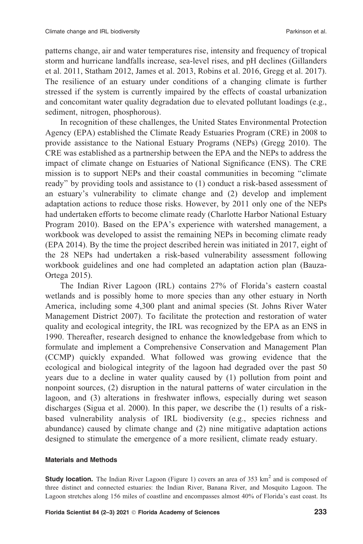patterns change, air and water temperatures rise, intensity and frequency of tropical storm and hurricane landfalls increase, sea-level rises, and pH declines (Gillanders et al. 2011, Statham 2012, James et al. 2013, Robins et al. 2016, Gregg et al. 2017). The resilience of an estuary under conditions of a changing climate is further stressed if the system is currently impaired by the effects of coastal urbanization and concomitant water quality degradation due to elevated pollutant loadings (e.g., sediment, nitrogen, phosphorous).

In recognition of these challenges, the United States Environmental Protection Agency (EPA) established the Climate Ready Estuaries Program (CRE) in 2008 to provide assistance to the National Estuary Programs (NEPs) (Gregg 2010). The CRE was established as a partnership between the EPA and the NEPs to address the impact of climate change on Estuaries of National Significance (ENS). The CRE mission is to support NEPs and their coastal communities in becoming ''climate ready'' by providing tools and assistance to (1) conduct a risk-based assessment of an estuary's vulnerability to climate change and (2) develop and implement adaptation actions to reduce those risks. However, by 2011 only one of the NEPs had undertaken efforts to become climate ready (Charlotte Harbor National Estuary Program 2010). Based on the EPA's experience with watershed management, a workbook was developed to assist the remaining NEPs in becoming climate ready (EPA 2014). By the time the project described herein was initiated in 2017, eight of the 28 NEPs had undertaken a risk-based vulnerability assessment following workbook guidelines and one had completed an adaptation action plan (Bauza-Ortega 2015).

The Indian River Lagoon (IRL) contains 27% of Florida's eastern coastal wetlands and is possibly home to more species than any other estuary in North America, including some 4,300 plant and animal species (St. Johns River Water Management District 2007). To facilitate the protection and restoration of water quality and ecological integrity, the IRL was recognized by the EPA as an ENS in 1990. Thereafter, research designed to enhance the knowledgebase from which to formulate and implement a Comprehensive Conservation and Management Plan (CCMP) quickly expanded. What followed was growing evidence that the ecological and biological integrity of the lagoon had degraded over the past 50 years due to a decline in water quality caused by (1) pollution from point and nonpoint sources, (2) disruption in the natural patterns of water circulation in the lagoon, and (3) alterations in freshwater inflows, especially during wet season discharges (Sigua et al. 2000). In this paper, we describe the (1) results of a riskbased vulnerability analysis of IRL biodiversity (e.g., species richness and abundance) caused by climate change and (2) nine mitigative adaptation actions designed to stimulate the emergence of a more resilient, climate ready estuary.

#### Materials and Methods

**Study location.** The Indian River Lagoon (Figure 1) covers an area of 353 km<sup>2</sup> and is composed of three distinct and connected estuaries: the Indian River, Banana River, and Mosquito Lagoon. The Lagoon stretches along 156 miles of coastline and encompasses almost 40% of Florida's east coast. Its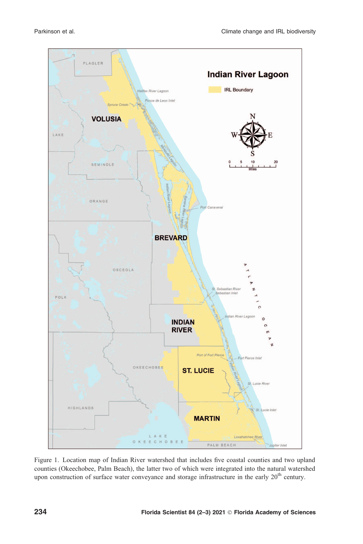

Figure 1. Location map of Indian River watershed that includes five coastal counties and two upland counties (Okeechobee, Palm Beach), the latter two of which were integrated into the natural watershed upon construction of surface water conveyance and storage infrastructure in the early  $20<sup>th</sup>$  century.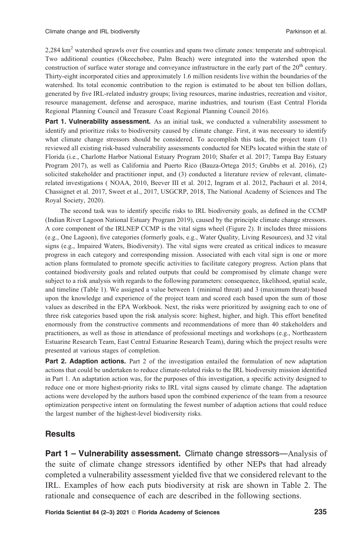2,284 km2 watershed sprawls over five counties and spans two climate zones: temperate and subtropical. Two additional counties (Okeechobee, Palm Beach) were integrated into the watershed upon the construction of surface water storage and conveyance infrastructure in the early part of the 20<sup>th</sup> century. Thirty-eight incorporated cities and approximately 1.6 million residents live within the boundaries of the watershed. Its total economic contribution to the region is estimated to be about ten billion dollars, generated by five IRL-related industry groups; living resources, marine industries, recreation and visitor, resource management, defense and aerospace, marine industries, and tourism (East Central Florida Regional Planning Council and Treasure Coast Regional Planning Council 2016).

Part 1. Vulnerability assessment. As an initial task, we conducted a vulnerability assessment to identify and prioritize risks to biodiversity caused by climate change. First, it was necessary to identify what climate change stressors should be considered. To accomplish this task, the project team (1) reviewed all existing risk-based vulnerability assessments conducted for NEPs located within the state of Florida (i.e., Charlotte Harbor National Estuary Program 2010; Shafer et al. 2017; Tampa Bay Estuary Program 2017), as well as California and Puerto Rico (Bauza-Ortega 2015; Grubbs et al. 2016), (2) solicited stakeholder and practitioner input, and (3) conducted a literature review of relevant, climaterelated investigations ( NOAA, 2010, Beever III et al. 2012, Ingram et al. 2012, Pachauri et al. 2014, Chassignet et al. 2017, Sweet et al., 2017, USGCRP, 2018, The National Academy of Sciences and The Royal Society, 2020).

The second task was to identify specific risks to IRL biodiversity goals, as defined in the CCMP (Indian River Lagoon National Estuary Program 2019), caused by the principle climate change stressors. A core component of the IRLNEP CCMP is the vital signs wheel (Figure 2). It includes three missions (e.g., One Lagoon), five categories (formerly goals, e.g., Water Quality, Living Resources), and 32 vital signs (e.g., Impaired Waters, Biodiversity). The vital signs were created as critical indices to measure progress in each category and corresponding mission. Associated with each vital sign is one or more action plans formulated to promote specific activities to facilitate category progress. Action plans that contained biodiversity goals and related outputs that could be compromised by climate change were subject to a risk analysis with regards to the following parameters: consequence, likelihood, spatial scale, and timeline (Table 1). We assigned a value between 1 (minimal threat) and 3 (maximum threat) based upon the knowledge and experience of the project team and scored each based upon the sum of those values as described in the EPA Workbook. Next, the risks were prioritized by assigning each to one of three risk categories based upon the risk analysis score: highest, higher, and high. This effort benefited enormously from the constructive comments and recommendations of more than 40 stakeholders and practitioners, as well as those in attendance of professional meetings and workshops (e.g., Northeastern Estuarine Research Team, East Central Estuarine Research Team), during which the project results were presented at various stages of completion.

**Part 2. Adaption actions.** Part 2 of the investigation entailed the formulation of new adaptation actions that could be undertaken to reduce climate-related risks to the IRL biodiversity mission identified in Part 1. An adaptation action was, for the purposes of this investigation, a specific activity designed to reduce one or more highest-priority risks to IRL vital signs caused by climate change. The adaptation actions were developed by the authors based upon the combined experience of the team from a resource optimization perspective intent on formulating the fewest number of adaption actions that could reduce the largest number of the highest-level biodiversity risks.

## **Results**

Part 1 – Vulnerability assessment. Climate change stressors—Analysis of the suite of climate change stressors identified by other NEPs that had already completed a vulnerability assessment yielded five that we considered relevant to the IRL. Examples of how each puts biodiversity at risk are shown in Table 2. The rationale and consequence of each are described in the following sections.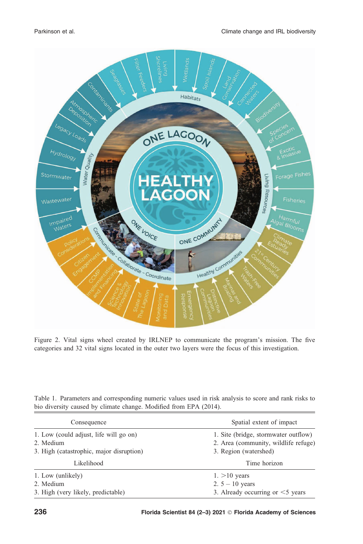

Figure 2. Vital signs wheel created by IRLNEP to communicate the program's mission. The five categories and 32 vital signs located in the outer two layers were the focus of this investigation.

Table 1. Parameters and corresponding numeric values used in risk analysis to score and rank risks to bio diversity caused by climate change. Modified from EPA (2014).

| Consequence                                                                                     | Spatial extent of impact                                                                              |  |  |  |  |
|-------------------------------------------------------------------------------------------------|-------------------------------------------------------------------------------------------------------|--|--|--|--|
| 1. Low (could adjust, life will go on)<br>2. Medium<br>3. High (catastrophic, major disruption) | 1. Site (bridge, stormwater outflow)<br>2. Area (community, wildlife refuge)<br>3. Region (watershed) |  |  |  |  |
| Likelihood                                                                                      | Time horizon                                                                                          |  |  |  |  |
| 1. Low (unlikely)                                                                               | $1. > 10$ years                                                                                       |  |  |  |  |
| 2. Medium                                                                                       | 2. $5 - 10$ years                                                                                     |  |  |  |  |
| 3. High (very likely, predictable)                                                              | 3. Already occurring or $\leq$ years                                                                  |  |  |  |  |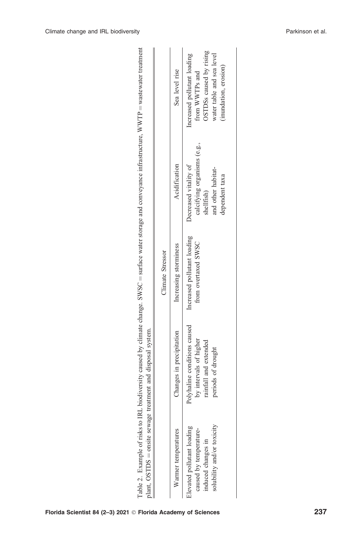|                                                                                                          | plant, OSTDS = onsite sewage treatment and disposal system.                                           | Climate Stressor                                   |                                                                                                            |                                                                                                                                |
|----------------------------------------------------------------------------------------------------------|-------------------------------------------------------------------------------------------------------|----------------------------------------------------|------------------------------------------------------------------------------------------------------------|--------------------------------------------------------------------------------------------------------------------------------|
| Warmer temperatures                                                                                      | Changes in precipitation                                                                              | Increasing storminess                              | Acidification                                                                                              | Sea level rise                                                                                                                 |
| solubility and/or toxicity<br>Elevated pollutant loading<br>caused by temperature-<br>induced changes in | Polyhaline conditions caused<br>by intervals of higher<br>rainfall and extended<br>periods of drought | Increased pollutant loading<br>from overtaxed SWSC | calcifying organisms (e.g.,<br>Decreased vitality of<br>and other habitat-<br>dependent taxa<br>shellfish) | OSTDSs caused by rising<br>water table and sea level<br>Increased pollutant loading<br>(inundation, erosion)<br>from WWTPs and |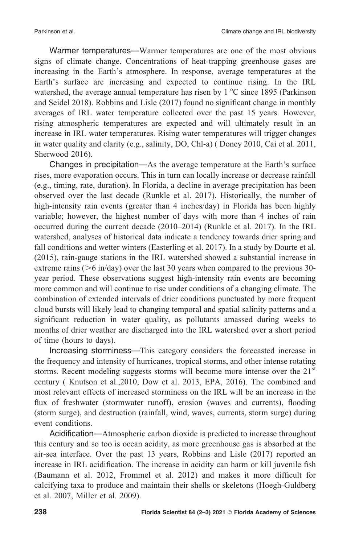Warmer temperatures—Warmer temperatures are one of the most obvious signs of climate change. Concentrations of heat-trapping greenhouse gases are increasing in the Earth's atmosphere. In response, average temperatures at the Earth's surface are increasing and expected to continue rising. In the IRL watershed, the average annual temperature has risen by  $1^{\circ}$ C since 1895 (Parkinson and Seidel 2018). Robbins and Lisle (2017) found no significant change in monthly averages of IRL water temperature collected over the past 15 years. However, rising atmospheric temperatures are expected and will ultimately result in an increase in IRL water temperatures. Rising water temperatures will trigger changes in water quality and clarity (e.g., salinity, DO, Chl-a) ( Doney 2010, Cai et al. 2011, Sherwood 2016).

Changes in precipitation—As the average temperature at the Earth's surface rises, more evaporation occurs. This in turn can locally increase or decrease rainfall (e.g., timing, rate, duration). In Florida, a decline in average precipitation has been observed over the last decade (Runkle et al. 2017). Historically, the number of high-intensity rain events (greater than 4 inches/day) in Florida has been highly variable; however, the highest number of days with more than 4 inches of rain occurred during the current decade (2010–2014) (Runkle et al. 2017). In the IRL watershed, analyses of historical data indicate a tendency towards drier spring and fall conditions and wetter winters (Easterling et al. 2017). In a study by Dourte et al. (2015), rain-gauge stations in the IRL watershed showed a substantial increase in extreme rains ( $>6$  in/day) over the last 30 years when compared to the previous 30year period. These observations suggest high-intensity rain events are becoming more common and will continue to rise under conditions of a changing climate. The combination of extended intervals of drier conditions punctuated by more frequent cloud bursts will likely lead to changing temporal and spatial salinity patterns and a significant reduction in water quality, as pollutants amassed during weeks to months of drier weather are discharged into the IRL watershed over a short period of time (hours to days).

Increasing storminess—This category considers the forecasted increase in the frequency and intensity of hurricanes, tropical storms, and other intense rotating storms. Recent modeling suggests storms will become more intense over the  $21<sup>st</sup>$ century ( Knutson et al.,2010, Dow et al. 2013, EPA, 2016). The combined and most relevant effects of increased storminess on the IRL will be an increase in the flux of freshwater (stormwater runoff), erosion (waves and currents), flooding (storm surge), and destruction (rainfall, wind, waves, currents, storm surge) during event conditions.

Acidification—Atmospheric carbon dioxide is predicted to increase throughout this century and so too is ocean acidity, as more greenhouse gas is absorbed at the air-sea interface. Over the past 13 years, Robbins and Lisle (2017) reported an increase in IRL acidification. The increase in acidity can harm or kill juvenile fish (Baumann et al. 2012, Frommel et al. 2012) and makes it more difficult for calcifying taxa to produce and maintain their shells or skeletons (Hoegh-Guldberg et al. 2007, Miller et al. 2009).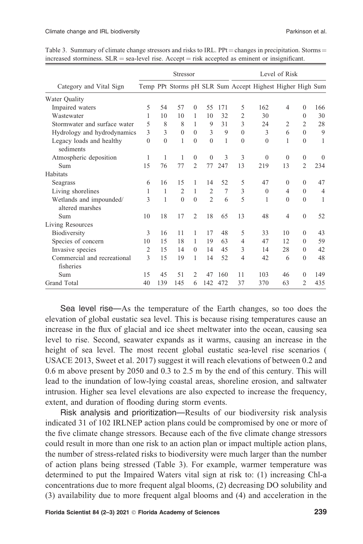|                                            |                |          | <b>Stressor</b> |                |                |     | Level of Risk  |                                                           |                |                |                |
|--------------------------------------------|----------------|----------|-----------------|----------------|----------------|-----|----------------|-----------------------------------------------------------|----------------|----------------|----------------|
| Category and Vital Sign                    |                |          |                 |                |                |     |                | Temp PPt Storms pH SLR Sum Accept Highest Higher High Sum |                |                |                |
| Water Quality                              |                |          |                 |                |                |     |                |                                                           |                |                |                |
| Impaired waters                            | 5              | 54       | 57              | $\Omega$       | 55             | 171 | 5              | 162                                                       | $\overline{4}$ | $\theta$       | 166            |
| Wastewater                                 | 1              | 10       | 10              | 1              | 10             | 32  | $\overline{2}$ | 30                                                        |                | $\Omega$       | 30             |
| Stormwater and surface water               | 5              | 8        | 8               | 1              | 9              | 31  | 3              | 24                                                        | 2              | 2              | 28             |
| Hydrology and hydrodynamics                | 3              | 3        | $\theta$        | $\Omega$       | 3              | 9   | $\theta$       | 3                                                         | 6              | $\Omega$       | 9              |
| Legacy loads and healthy<br>sediments      | $\Omega$       | $\Omega$ | 1               | $\Omega$       | $\theta$       | 1   | $\theta$       | $\Omega$                                                  | 1              | $\Omega$       | 1              |
| Atmospheric deposition                     | 1              | 1        | 1               | $\Omega$       | $\mathbf{0}$   | 3   | 3              | $\theta$                                                  | $\theta$       | $\theta$       | $\Omega$       |
| Sum                                        | 15             | 76       | 77              | $\overline{2}$ | 77             | 247 | 13             | 219                                                       | 13             | $\overline{2}$ | 234            |
| Habitats                                   |                |          |                 |                |                |     |                |                                                           |                |                |                |
| Seagrass                                   | 6              | 16       | 15              | 1              | 14             | 52  | 5              | 47                                                        | $\theta$       | $\Omega$       | 47             |
| Living shorelines                          | 1              | 1        | $\overline{2}$  | 1              | $\overline{2}$ | 7   | 3              | $\theta$                                                  | $\overline{4}$ | $\theta$       | $\overline{4}$ |
| Wetlands and impounded/<br>altered marshes | 3              | 1        | $\Omega$        | $\Omega$       | $\mathfrak{D}$ | 6   | 5              | 1                                                         | $\Omega$       | $\Omega$       | 1              |
| Sum                                        | 10             | 18       | 17              | $\overline{2}$ | 18             | 65  | 13             | 48                                                        | $\overline{4}$ | $\theta$       | 52             |
| Living Resources                           |                |          |                 |                |                |     |                |                                                           |                |                |                |
| Biodiversity                               | 3              | 16       | 11              | 1              | 17             | 48  | 5              | 33                                                        | 10             | $\Omega$       | 43             |
| Species of concern                         | 10             | 15       | 18              | 1              | 19             | 63  | $\overline{4}$ | 47                                                        | 12             | $\Omega$       | 59             |
| Invasive species                           | $\overline{2}$ | 15       | 14              | $\Omega$       | 14             | 45  | 3              | 14                                                        | 28             | $\Omega$       | 42             |
| Commercial and recreational                | $\mathcal{E}$  | 15       | 19              | 1              | 14             | 52  | $\overline{4}$ | 42                                                        | 6              | $\Omega$       | 48             |
| fisheries                                  |                |          |                 |                |                |     |                |                                                           |                |                |                |
| Sum                                        | 15             | 45       | 51              | 2              | 47             | 160 | 11             | 103                                                       | 46             | $\Omega$       | 149            |
| <b>Grand Total</b>                         | 40             | 139      | 145             | 6              | 142            | 472 | 37             | 370                                                       | 63             | $\mathfrak{D}$ | 435            |

Table 3. Summary of climate change stressors and risks to IRL. PPt = changes in precipitation. Storms = increased storminess.  $SLR =$  sea-level rise. Accept  $=$  risk accepted as eminent or insignificant.

Sea level rise—As the temperature of the Earth changes, so too does the elevation of global eustatic sea level. This is because rising temperatures cause an increase in the flux of glacial and ice sheet meltwater into the ocean, causing sea level to rise. Second, seawater expands as it warms, causing an increase in the height of sea level. The most recent global eustatic sea-level rise scenarios ( USACE 2013, Sweet et al. 2017) suggest it will reach elevations of between 0.2 and 0.6 m above present by 2050 and 0.3 to 2.5 m by the end of this century. This will lead to the inundation of low-lying coastal areas, shoreline erosion, and saltwater intrusion. Higher sea level elevations are also expected to increase the frequency, extent, and duration of flooding during storm events.

Risk analysis and prioritization—Results of our biodiversity risk analysis indicated 31 of 102 IRLNEP action plans could be compromised by one or more of the five climate change stressors. Because each of the five climate change stressors could result in more than one risk to an action plan or impact multiple action plans, the number of stress-related risks to biodiversity were much larger than the number of action plans being stressed (Table 3). For example, warmer temperature was determined to put the Impaired Waters vital sign at risk to: (1) increasing Chl-a concentrations due to more frequent algal blooms, (2) decreasing DO solubility and (3) availability due to more frequent algal blooms and (4) and acceleration in the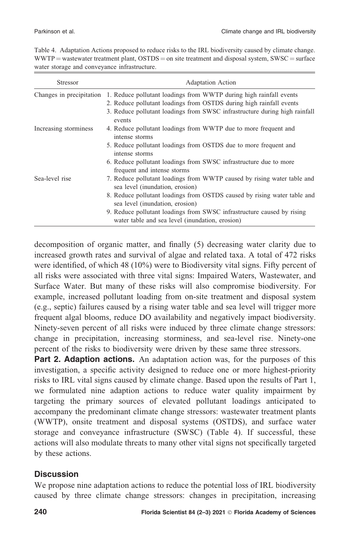| Table 4. Adaptation Actions proposed to reduce risks to the IRL biodiversity caused by climate change. |
|--------------------------------------------------------------------------------------------------------|
| $WWTP$ = wastewater treatment plant, $OSTDS = on$ site treatment and disposal system, $SWSC = surface$ |
| water storage and conveyance infrastructure.                                                           |

| Stressor                 | <b>Adaptation Action</b>                                                                                                                                                                                                                                                                                                                               |
|--------------------------|--------------------------------------------------------------------------------------------------------------------------------------------------------------------------------------------------------------------------------------------------------------------------------------------------------------------------------------------------------|
| Changes in precipitation | 1. Reduce pollutant loadings from WWTP during high rainfall events<br>2. Reduce pollutant loadings from OSTDS during high rainfall events<br>3. Reduce pollutant loadings from SWSC infrastructure during high rainfall<br>events                                                                                                                      |
| Increasing storminess    | 4. Reduce pollutant loadings from WWTP due to more frequent and<br>intense storms<br>5. Reduce pollutant loadings from OSTDS due to more frequent and<br>intense storms<br>6. Reduce pollutant loadings from SWSC infrastructure due to more<br>frequent and intense storms                                                                            |
| Sea-level rise           | 7. Reduce pollutant loadings from WWTP caused by rising water table and<br>sea level (inundation, erosion)<br>8. Reduce pollutant loadings from OSTDS caused by rising water table and<br>sea level (inundation, erosion)<br>9. Reduce pollutant loadings from SWSC infrastructure caused by rising<br>water table and sea level (inundation, erosion) |

decomposition of organic matter, and finally (5) decreasing water clarity due to increased growth rates and survival of algae and related taxa. A total of 472 risks were identified, of which 48 (10%) were to Biodiversity vital signs. Fifty percent of all risks were associated with three vital signs: Impaired Waters, Wastewater, and Surface Water. But many of these risks will also compromise biodiversity. For example, increased pollutant loading from on-site treatment and disposal system (e.g., septic) failures caused by a rising water table and sea level will trigger more frequent algal blooms, reduce DO availability and negatively impact biodiversity. Ninety-seven percent of all risks were induced by three climate change stressors: change in precipitation, increasing storminess, and sea-level rise. Ninety-one percent of the risks to biodiversity were driven by these same three stressors.

**Part 2. Adaption actions.** An adaptation action was, for the purposes of this investigation, a specific activity designed to reduce one or more highest-priority risks to IRL vital signs caused by climate change. Based upon the results of Part 1, we formulated nine adaption actions to reduce water quality impairment by targeting the primary sources of elevated pollutant loadings anticipated to accompany the predominant climate change stressors: wastewater treatment plants (WWTP), onsite treatment and disposal systems (OSTDS), and surface water storage and conveyance infrastructure (SWSC) (Table 4). If successful, these actions will also modulate threats to many other vital signs not specifically targeted by these actions.

## **Discussion**

We propose nine adaptation actions to reduce the potential loss of IRL biodiversity caused by three climate change stressors: changes in precipitation, increasing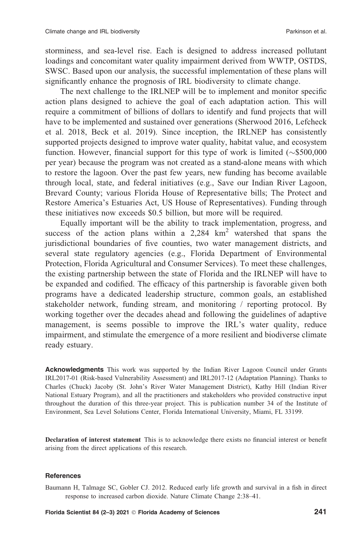storminess, and sea-level rise. Each is designed to address increased pollutant loadings and concomitant water quality impairment derived from WWTP, OSTDS, SWSC. Based upon our analysis, the successful implementation of these plans will significantly enhance the prognosis of IRL biodiversity to climate change.

The next challenge to the IRLNEP will be to implement and monitor specific action plans designed to achieve the goal of each adaptation action. This will require a commitment of billions of dollars to identify and fund projects that will have to be implemented and sustained over generations (Sherwood 2016, Lefcheck et al. 2018, Beck et al. 2019). Since inception, the IRLNEP has consistently supported projects designed to improve water quality, habitat value, and ecosystem function. However, financial support for this type of work is limited  $(\sim $500,000$ per year) because the program was not created as a stand-alone means with which to restore the lagoon. Over the past few years, new funding has become available through local, state, and federal initiatives (e.g., Save our Indian River Lagoon, Brevard County; various Florida House of Representative bills; The Protect and Restore America's Estuaries Act, US House of Representatives). Funding through these initiatives now exceeds \$0.5 billion, but more will be required.

Equally important will be the ability to track implementation, progress, and success of the action plans within a  $2,284 \text{ km}^2$  watershed that spans the jurisdictional boundaries of five counties, two water management districts, and several state regulatory agencies (e.g., Florida Department of Environmental Protection, Florida Agricultural and Consumer Services). To meet these challenges, the existing partnership between the state of Florida and the IRLNEP will have to be expanded and codified. The efficacy of this partnership is favorable given both programs have a dedicated leadership structure, common goals, an established stakeholder network, funding stream, and monitoring / reporting protocol. By working together over the decades ahead and following the guidelines of adaptive management, is seems possible to improve the IRL's water quality, reduce impairment, and stimulate the emergence of a more resilient and biodiverse climate ready estuary.

Acknowledgments This work was supported by the Indian River Lagoon Council under Grants IRL2017-01 (Risk-based Vulnerability Assessment) and IRL2017-12 (Adaptation Planning). Thanks to Charles (Chuck) Jacoby (St. John's River Water Management District), Kathy Hill (Indian River National Estuary Program), and all the practitioners and stakeholders who provided constructive input throughout the duration of this three-year project. This is publication number 34 of the Institute of Environment, Sea Level Solutions Center, Florida International University, Miami, FL 33199.

Declaration of interest statement This is to acknowledge there exists no financial interest or benefit arising from the direct applications of this research.

#### References

Baumann H, Talmage SC, Gobler CJ. 2012. Reduced early life growth and survival in a fish in direct response to increased carbon dioxide. Nature Climate Change 2:38–41.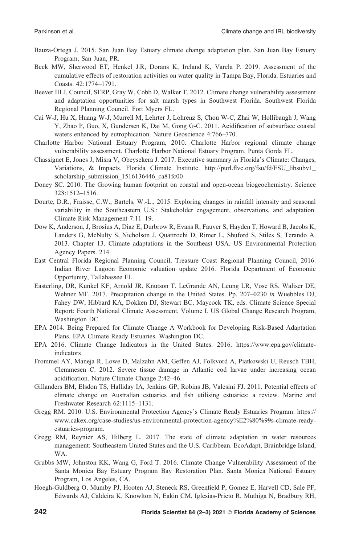- Bauza-Ortega J. 2015. San Juan Bay Estuary climate change adaptation plan. San Juan Bay Estuary Program, San Juan, PR.
- Beck MW, Sherwood ET, Henkel J.R, Dorans K, Ireland K, Varela P. 2019. Assessment of the cumulative effects of restoration activities on water quality in Tampa Bay, Florida. Estuaries and Coasts. 42:1774–1791.
- Beever III J, Council, SFRP, Gray W, Cobb D, Walker T. 2012. Climate change vulnerability assessment and adaptation opportunities for salt marsh types in Southwest Florida. Southwest Florida Regional Planning Council. Fort Myers FL.
- Cai W-J, Hu X, Huang W-J, Murrell M, Lehrter J, Lohrenz S, Chou W-C, Zhai W, Hollibaugh J, Wang Y, Zhao P, Guo, X, Gundersen K, Dai M, Gong G-C. 2011. Acidification of subsurface coastal waters enhanced by eutrophication. Nature Geoscience 4:766–770.
- Charlotte Harbor National Estuary Program, 2010. Charlotte Harbor regional climate change vulnerability assessment. Charlotte Harbor National Estuary Program. Punta Gorda FL.
- Chassignet E, Jones J, Misra V, Obeysekera J. 2017. Executive summary in Florida's Climate: Changes, Variations, & Impacts. Florida Climate Institute. http://purl.flvc.org/fsu/fd/FSU\_libsubv1\_ scholarship\_submission\_1516136446\_ca81fc00
- Doney SC. 2010. The Growing human footprint on coastal and open-ocean biogeochemistry. Science 328:1512–1516.
- Dourte, D.R., Fraisse, C.W., Bartels, W.-L., 2015. Exploring changes in rainfall intensity and seasonal variability in the Southeastern U.S.: Stakeholder engagement, observations, and adaptation. Climate Risk Management 7:11–19.
- Dow K, Anderson, J, Brosius A, Diaz E, Durbrow R, Evans R, Fauver S, Hayden T, Howard B, Jacobs K, Landers G, McNulty S, Nicholson J, Quattrochi D, Rimer L, Shuford S, Stiles S, Terando A. 2013. Chapter 13. Climate adaptations in the Southeast USA. US Environmental Protection Agency Papers. 214.
- East Central Florida Regional Planning Council, Treasure Coast Regional Planning Council, 2016. Indian River Lagoon Economic valuation update 2016. Florida Department of Economic Opportunity, Tallahassee FL.
- Easterling, DR, Kunkel KF, Arnold JR, Knutson T, LeGrande AN, Leung LR, Vose RS, Waliser DE, Wehner MF. 2017. Precipitation change in the United States. Pp. 207–0230 in Wuebbles DJ, Fahey DW, Hibbard KA, Dokken DJ, Stewart BC, Maycock TK, eds. Climate Science Special Report: Fourth National Climate Assessment, Volume I. US Global Change Research Program, Washington DC.
- EPA 2014. Being Prepared for Climate Change A Workbook for Developing Risk-Based Adaptation Plans. EPA Climate Ready Estuaries. Washington DC.
- EPA 2016. Climate Change Indicators in the United States. 2016. https://www.epa.gov/climateindicators
- Frommel AY, Maneja R, Lowe D, Malzahn AM, Geffen AJ, Folkvord A, Piatkowski U, Reusch TBH, Clemmesen C. 2012. Severe tissue damage in Atlantic cod larvae under increasing ocean acidification. Nature Climate Change 2:42–46.
- Gillanders BM, Elsdon TS, Halliday IA, Jenkins GP, Robins JB, Valesini FJ. 2011. Potential effects of climate change on Australian estuaries and fish utilising estuaries: a review. Marine and Freshwater Research 62:1115–1131.
- Gregg RM. 2010. U.S. Environmental Protection Agency's Climate Ready Estuaries Program. https:// www.cakex.org/case-studies/us-environmental-protection-agency%E2%80%99s-climate-readyestuaries-program.
- Gregg RM, Reynier AS, Hilberg L. 2017. The state of climate adaptation in water resources management: Southeastern United States and the U.S. Caribbean. EcoAdapt, Brainbridge Island, WA.
- Grubbs MW, Johnston KK, Wang G, Ford T. 2016. Climate Change Vulnerability Assessment of the Santa Monica Bay Estuary Program Bay Restoration Plan. Santa Monica National Estuary Program, Los Angeles, CA.
- Hoegh-Guldberg O, Mumby PJ, Hooten AJ, Steneck RS, Greenfield P, Gomez E, Harvell CD, Sale PF, Edwards AJ, Caldeira K, Knowlton N, Eakin CM, Iglesias-Prieto R, Muthiga N, Bradbury RH,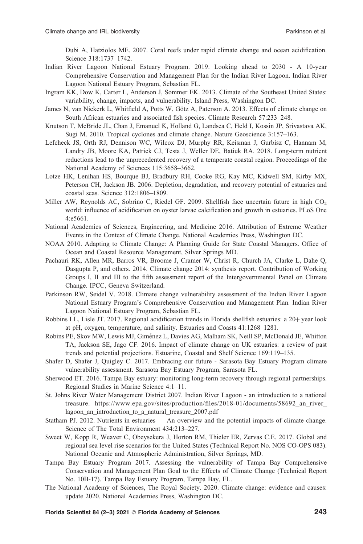Dubi A, Hatziolos ME. 2007. Coral reefs under rapid climate change and ocean acidification. Science 318:1737–1742.

- Indian River Lagoon National Estuary Program. 2019. Looking ahead to 2030 A 10-year Comprehensive Conservation and Management Plan for the Indian River Lagoon. Indian River Lagoon National Estuary Program, Sebastian FL.
- Ingram KK, Dow K, Carter L, Anderson J, Sommer EK. 2013. Climate of the Southeast United States: variability, change, impacts, and vulnerability. Island Press, Washington DC.
- James N, van Niekerk L, Whitfield A, Potts W, Götz A, Paterson A. 2013. Effects of climate change on South African estuaries and associated fish species. Climate Research 57:233–248.
- Knutson T, McBride JL, Chan J, Emanuel K, Holland G, Landsea C, Held I, Kossin JP, Srivastava AK, Sugi M. 2010. Tropical cyclones and climate change. Nature Geoscience 3:157–163.
- Lefcheck JS, Orth RJ, Dennison WC, Wilcox DJ, Murphy RR, Keisman J, Gurbisz C, Hannam M, Landry JB, Moore KA, Patrick CJ, Testa J, Weller DE, Batiuk RA. 2018. Long-term nutrient reductions lead to the unprecedented recovery of a temperate coastal region. Proceedings of the National Academy of Sciences 115:3658–3662.
- Lotze HK, Lenihan HS, Bourque BJ, Bradbury RH, Cooke RG, Kay MC, Kidwell SM, Kirby MX, Peterson CH, Jackson JB. 2006. Depletion, degradation, and recovery potential of estuaries and coastal seas. Science 312:1806–1809.
- Miller AW, Reynolds AC, Sobrino C, Riedel GF. 2009. Shellfish face uncertain future in high CO<sub>2</sub> world: influence of acidification on oyster larvae calcification and growth in estuaries. PLoS One 4:e5661.
- National Academies of Sciences, Engineering, and Medicine 2016. Attribution of Extreme Weather Events in the Context of Climate Change. National Academies Press, Washington DC.
- NOAA 2010. Adapting to Climate Change: A Planning Guide for State Coastal Managers. Office of Ocean and Coastal Resource Management, Silver Springs MD.
- Pachauri RK, Allen MR, Barros VR, Broome J, Cramer W, Christ R, Church JA, Clarke L, Dahe Q, Dasgupta P, and others. 2014. Climate change 2014: synthesis report. Contribution of Working Groups I, II and III to the fifth assessment report of the Intergovernmental Panel on Climate Change. IPCC, Geneva Switzerland.
- Parkinson RW, Seidel V. 2018. Climate change vulnerability assessment of the Indian River Lagoon National Estuary Program's Comprehensive Conservation and Management Plan. Indian River Lagoon National Estuary Program, Sebastian FL.
- Robbins LL, Lisle JT. 2017. Regional acidification trends in Florida shellfish estuaries: a 20+ year look at pH, oxygen, temperature, and salinity. Estuaries and Coasts 41:1268–1281.
- Robins PE, Skov MW, Lewis MJ, Gimenez L, Davies AG, Malham SK, Neill SP, McDonald JE, Whitton ´ TA, Jackson SE, Jago CF. 2016. Impact of climate change on UK estuaries: a review of past trends and potential projections. Estuarine, Coastal and Shelf Science 169:119–135.
- Shafer D, Shafer J, Quigley C. 2017. Embracing our future Sarasota Bay Estuary Program climate vulnerability assessment. Sarasota Bay Estuary Program, Sarasota FL.
- Sherwood ET. 2016. Tampa Bay estuary: monitoring long-term recovery through regional partnerships. Regional Studies in Marine Science 4:1–11.
- St. Johns River Water Management District 2007. Indian River Lagoon an introduction to a national treasure. https://www.epa.gov/sites/production/files/2018-01/documents/58692\_an\_river\_ lagoon\_an\_introduction\_to\_a\_natural\_treasure\_2007.pdf
- Statham PJ. 2012. Nutrients in estuaries An overview and the potential impacts of climate change. Science of The Total Environment 434:213–227.
- Sweet W, Kopp R, Weaver C, Obeysekera J, Horton RM, Thieler ER, Zervas C.E. 2017. Global and regional sea level rise scenarios for the United States (Technical Report No. NOS CO-OPS 083). National Oceanic and Atmospheric Administration, Silver Springs, MD.
- Tampa Bay Estuary Program 2017. Assessing the vulnerability of Tampa Bay Comprehensive Conservation and Management Plan Goal to the Effects of Climate Change (Technical Report No. 10B-17). Tampa Bay Estuary Program, Tampa Bay, FL.
- The National Academy of Sciences, The Royal Society. 2020. Climate change: evidence and causes: update 2020. National Academies Press, Washington DC.